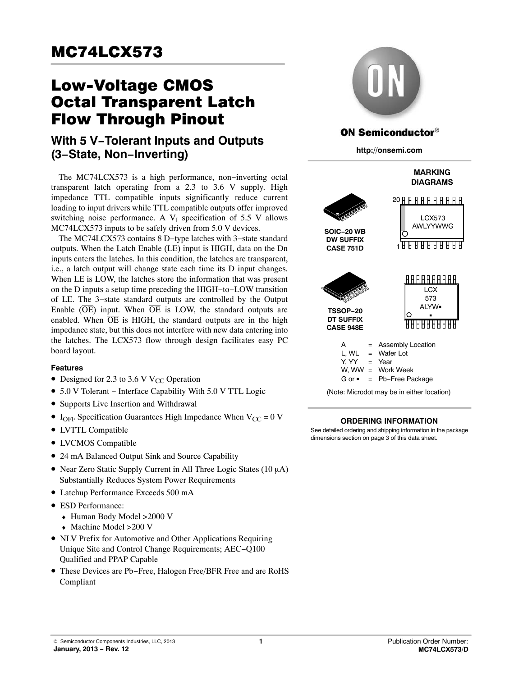# **MC74LCX573**  $\overline{\phantom{a}}$  ,  $\overline{\phantom{a}}$  ,  $\overline{\phantom{a}}$  ,  $\overline{\phantom{a}}$  ,  $\overline{\phantom{a}}$  ,  $\overline{\phantom{a}}$  ,  $\overline{\phantom{a}}$  ,  $\overline{\phantom{a}}$  ,  $\overline{\phantom{a}}$  ,  $\overline{\phantom{a}}$  ,  $\overline{\phantom{a}}$  ,  $\overline{\phantom{a}}$  ,  $\overline{\phantom{a}}$  ,  $\overline{\phantom{a}}$  ,  $\overline{\phantom{a}}$  ,  $\overline{\phantom{a}}$

# Low-Voltage CMOS **Flow Through Pinout**

# $\frac{1}{2}$ **With 5 V−Tolerant Inputs and Outputs (3−State, Non−Inverting)**

The MC74LCX573 is a high performance, non−inverting octal transparent latch operating from a 2.3 to 3.6 V supply. High impedance TTL compatible inputs significantly reduce current loading to input drivers while TTL compatible outputs offer improved switching noise performance. A  $V_I$  specification of 5.5 V allows MC74LCX573 inputs to be safely driven from 5.0 V devices.

The MC74LCX573 contains 8 D−type latches with 3−state standard outputs. When the Latch Enable (LE) input is HIGH, data on the Dn inputs enters the latches. In this condition, the latches are transparent, i.e., a latch output will change state each time its D input changes. When LE is LOW, the latches store the information that was present on the D inputs a setup time preceding the HIGH−to−LOW transition of LE. The 3−state standard outputs are controlled by the Output Enable  $(\overline{OE})$  input. When  $\overline{OE}$  is LOW, the standard outputs are enabled. When  $\overline{OE}$  is HIGH, the standard outputs are in the high impedance state, but this does not interfere with new data entering into the latches. The LCX573 flow through design facilitates easy PC board layout.

#### **Features**

- Designed for 2.3 to 3.6 V V<sub>CC</sub> Operation
- 5.0 V Tolerant − Interface Capability With 5.0 V TTL Logic
- Supports Live Insertion and Withdrawal
- I<sub>OFF</sub> Specification Guarantees High Impedance When  $V_{CC} = 0$  V
- LVTTL Compatible
- LVCMOS Compatible
- 24 mA Balanced Output Sink and Source Capability
- Near Zero Static Supply Current in All Three Logic States (10 µA) Substantially Reduces System Power Requirements
- Latchup Performance Exceeds 500 mA
- ESD Performance:
	- ♦ Human Body Model >2000 V
	- ♦ Machine Model >200 V
- NLV Prefix for Automotive and Other Applications Requiring Unique Site and Control Change Requirements; AEC−Q100 Qualified and PPAP Capable
- These Devices are Pb−Free, Halogen Free/BFR Free and are RoHS Compliant



## **ON Semiconductor®**

**http://onsemi.com**



#### **ORDERING INFORMATION**

See detailed ordering and shipping information in the package dimensions section on page [3](#page-2-0) of this data sheet.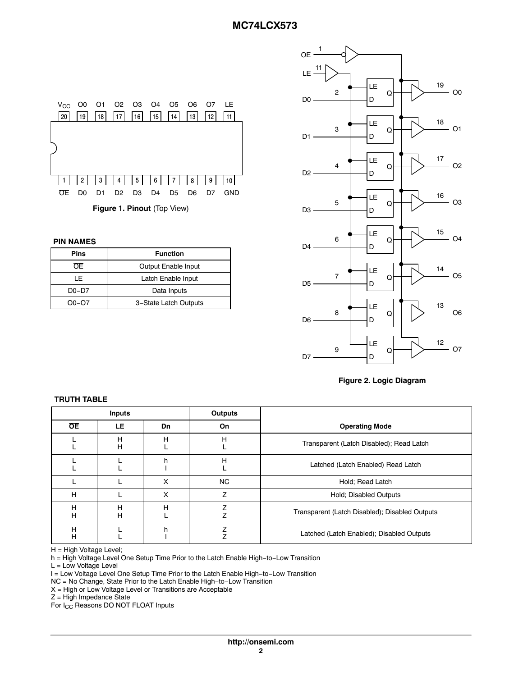

**PIN NAMES**

| Pins        | <b>Function</b>       |  |
|-------------|-----------------------|--|
| OF.         | Output Enable Input   |  |
| ΙF          | Latch Enable Input    |  |
| $D0-D7$     | Data Inputs           |  |
| $O_0 - O_7$ | 3-State Latch Outputs |  |





| Inputs    |        |    | <b>Outputs</b> |                                                |
|-----------|--------|----|----------------|------------------------------------------------|
| <b>OE</b> | LE.    | Dn | On             | <b>Operating Mode</b>                          |
|           | н<br>H | н  | Н              | Transparent (Latch Disabled); Read Latch       |
|           |        | h  | H              | Latched (Latch Enabled) Read Latch             |
|           |        | X  | <b>NC</b>      | Hold; Read Latch                               |
| H         |        | X  | 7              | Hold; Disabled Outputs                         |
| Н<br>H    | н<br>Н | н  | ⇁              | Transparent (Latch Disabled); Disabled Outputs |
| Н<br>H    |        | h  |                | Latched (Latch Enabled); Disabled Outputs      |

H = High Voltage Level;

**TRUTH TABLE**

h = High Voltage Level One Setup Time Prior to the Latch Enable High−to−Low Transition

L = Low Voltage Level

l = Low Voltage Level One Setup Time Prior to the Latch Enable High−to−Low Transition

NC = No Change, State Prior to the Latch Enable High−to−Low Transition

 $X = High$  or Low Voltage Level or Transitions are Acceptable

 $Z = High$  Impedance State

For I<sub>CC</sub> Reasons DO NOT FLOAT Inputs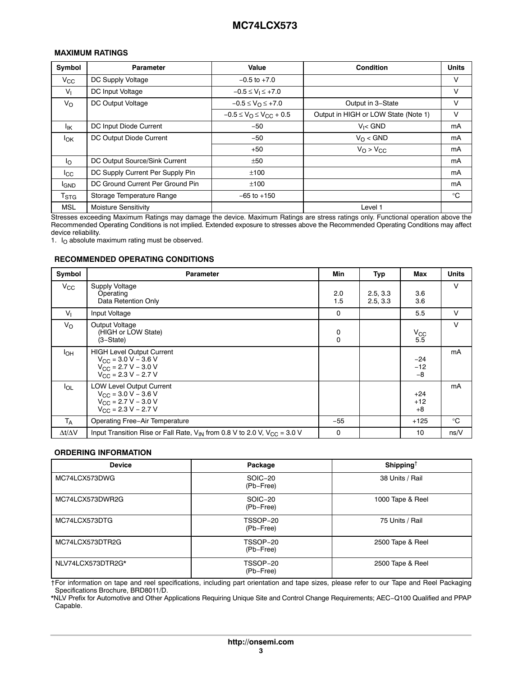#### <span id="page-2-0"></span>**MAXIMUM RATINGS**

| Symbol           | Parameter                        | Value                                     | Condition                            | <b>Units</b> |
|------------------|----------------------------------|-------------------------------------------|--------------------------------------|--------------|
| $V_{\rm CC}$     | DC Supply Voltage                | $-0.5$ to $+7.0$                          |                                      | V            |
| $V_{\parallel}$  | DC Input Voltage                 | $-0.5 \le V_1 \le +7.0$                   |                                      | V            |
| $V_{\Omega}$     | DC Output Voltage                | $-0.5 \leq V_{\Omega} \leq +7.0$          | Output in 3-State                    | V            |
|                  |                                  | $-0.5 \le V_{\rm O} \le V_{\rm CC} + 0.5$ | Output in HIGH or LOW State (Note 1) | $\vee$       |
| lικ              | DC Input Diode Current           | $-50$                                     | $V_i <$ GND                          | mA           |
| $I_{OK}$         | DC Output Diode Current          | $-50$                                     | $V_O <$ GND                          | mA           |
|                  |                                  | $+50$                                     | $V_Q > V_{CC}$                       | mA           |
| $I_{\Omega}$     | DC Output Source/Sink Current    | ±50                                       |                                      | mA           |
| $_{\rm lcc}$     | DC Supply Current Per Supply Pin | ±100                                      |                                      | mA           |
| <sup>I</sup> GND | DC Ground Current Per Ground Pin | ±100                                      |                                      | mA           |
| $T_{\rm STG}$    | Storage Temperature Range        | $-65$ to $+150$                           |                                      | $^{\circ}$ C |
| <b>MSL</b>       | Moisture Sensitivity             |                                           | Level 1                              |              |

Stresses exceeding Maximum Ratings may damage the device. Maximum Ratings are stress ratings only. Functional operation above the Recommended Operating Conditions is not implied. Extended exposure to stresses above the Recommended Operating Conditions may affect device reliability.

1.  $I<sub>O</sub>$  absolute maximum rating must be observed.

#### **RECOMMENDED OPERATING CONDITIONS**

| Symbol              | <b>Parameter</b>                                                                                                                                  | Min           | Typ                  | Max                    | <b>Units</b> |
|---------------------|---------------------------------------------------------------------------------------------------------------------------------------------------|---------------|----------------------|------------------------|--------------|
| $V_{\rm CC}$        | Supply Voltage<br>Operating<br>Data Retention Only                                                                                                | 2.0<br>1.5    | 2.5, 3.3<br>2.5, 3.3 | 3.6<br>3.6             | V            |
| V <sub>1</sub>      | Input Voltage                                                                                                                                     | $\mathbf 0$   |                      | 5.5                    | V            |
| $V_{\rm O}$         | Output Voltage<br>(HIGH or LOW State)<br>$(3 - State)$                                                                                            | 0<br>$\Omega$ |                      | $V_{\rm CC}$<br>5.5    | V            |
| $I_{OH}$            | <b>HIGH Level Output Current</b><br>$V_{\text{CC}} = 3.0 V - 3.6 V$<br>$V_{CC}$ = 2.7 V – 3.0 V<br>$V_{\text{CC}}$ = 2.3 V – 2.7 V                |               |                      | $-24$<br>$-12$<br>$-8$ | mA           |
| $I_{OL}$            | <b>LOW Level Output Current</b><br>$V_{\text{CC}} = 3.0 \text{ V} - 3.6 \text{ V}$<br>$V_{\text{CC}}$ = 2.7 V – 3.0 V<br>$V_{CC}$ = 2.3 V – 2.7 V |               |                      | $+24$<br>$+12$<br>$+8$ | mA           |
| T <sub>A</sub>      | <b>Operating Free-Air Temperature</b>                                                                                                             | $-55$         |                      | $+125$                 | $^{\circ}C$  |
| $\Delta t/\Delta V$ | Input Transition Rise or Fall Rate, $V_{IN}$ from 0.8 V to 2.0 V, $V_{CC}$ = 3.0 V                                                                | 0             |                      | 10                     | ns/V         |

#### **ORDERING INFORMATION**

| <b>Device</b>     | Package               | Shipping <sup>+</sup> |
|-------------------|-----------------------|-----------------------|
| MC74LCX573DWG     | SOIC-20<br>(Pb-Free)  | 38 Units / Rail       |
| MC74LCX573DWR2G   | SOIC-20<br>(Pb-Free)  | 1000 Tape & Reel      |
| MC74LCX573DTG     | TSSOP-20<br>(Pb-Free) | 75 Units / Rail       |
| MC74LCX573DTR2G   | TSSOP-20<br>(Pb-Free) | 2500 Tape & Reel      |
| NLV74LCX573DTR2G* | TSSOP-20<br>(Pb-Free) | 2500 Tape & Reel      |

†For information on tape and reel specifications, including part orientation and tape sizes, please refer to our Tape and Reel Packaging Specifications Brochure, BRD8011/D.

\*NLV Prefix for Automotive and Other Applications Requiring Unique Site and Control Change Requirements; AEC−Q100 Qualified and PPAP Capable.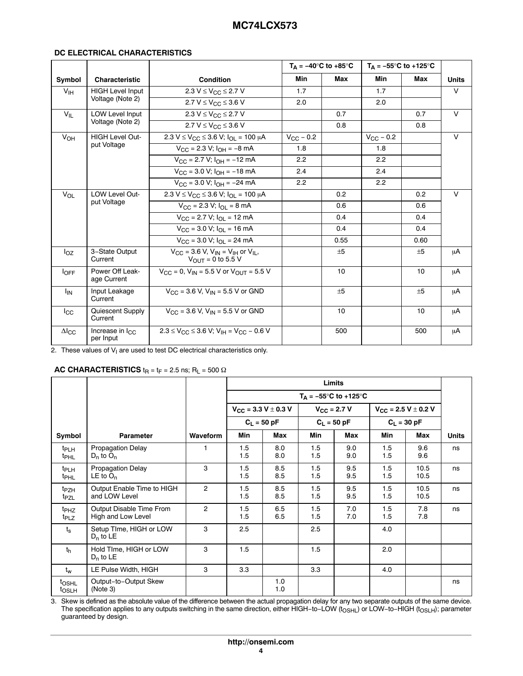### **DC ELECTRICAL CHARACTERISTICS**

|                     |                                       |                                                                                                            | $T_A = -40^\circ \text{C}$ to $+85^\circ \text{C}$ |      | $T_{\Delta}$ = -55°C to +125°C |      |              |
|---------------------|---------------------------------------|------------------------------------------------------------------------------------------------------------|----------------------------------------------------|------|--------------------------------|------|--------------|
| Symbol              | <b>Characteristic</b>                 | <b>Condition</b>                                                                                           | Min                                                | Max  | Min                            | Max  | <b>Units</b> |
| V <sub>IH</sub>     | <b>HIGH Level Input</b>               | 2.3 $V \leq V_{CC} \leq 2.7 V$                                                                             | 1.7                                                |      | 1.7                            |      | $\vee$       |
|                     | Voltage (Note 2)                      | $2.7 V \le V_{CC} \le 3.6 V$                                                                               | 2.0                                                |      | 2.0                            |      |              |
| $V_{IL}$            | <b>LOW Level Input</b>                | 2.3 V ≤ V <sub>CC</sub> ≤ 2.7 V                                                                            |                                                    | 0.7  |                                | 0.7  | $\vee$       |
|                     | Voltage (Note 2)                      | 2.7 $V \leq V_{CC} \leq 3.6 V$                                                                             |                                                    | 0.8  |                                | 0.8  |              |
| $V_{OH}$            | <b>HIGH Level Out-</b>                | 2.3 V ≤ V <sub>CC</sub> ≤ 3.6 V; I <sub>OI</sub> = 100 µA                                                  | $V_{\rm CC}$ – 0.2                                 |      | $V_{\rm CC}$ – 0.2             |      | $\vee$       |
|                     | put Voltage                           | $V_{\text{CC}} = 2.3 \text{ V}$ ; $I_{\text{OH}} = -8 \text{ mA}$                                          | 1.8                                                |      | 1.8                            |      |              |
|                     |                                       | $V_{\text{CC}}$ = 2.7 V; $I_{\text{OH}}$ = -12 mA                                                          | 2.2                                                |      | 2.2                            |      |              |
|                     |                                       | $V_{CC}$ = 3.0 V; $I_{OH}$ = -18 mA                                                                        | 2.4                                                |      | 2.4                            |      |              |
|                     |                                       | $V_{CC}$ = 3.0 V; $I_{OH}$ = -24 mA                                                                        | 2.2                                                |      | 2.2                            |      |              |
| $V_{OL}$            | <b>LOW Level Out-</b>                 | $2.3 V \le V_{CC} \le 3.6 V$ ; $I_{O1} = 100 \mu A$                                                        |                                                    | 0.2  |                                | 0.2  | $\vee$       |
|                     | put Voltage                           | $V_{\text{CC}}$ = 2.3 V; $I_{\text{OL}}$ = 8 mA                                                            |                                                    | 0.6  |                                | 0.6  |              |
|                     |                                       | $V_{\text{CC}} = 2.7 \text{ V}; I_{\text{OL}} = 12 \text{ mA}$                                             |                                                    | 0.4  |                                | 0.4  |              |
|                     |                                       | $V_{\text{CC}}$ = 3.0 V; $I_{\text{O}}$ = 16 mA                                                            |                                                    | 0.4  |                                | 0.4  |              |
|                     |                                       | $V_{\text{CC}}$ = 3.0 V; $I_{\text{O}}$ = 24 mA                                                            |                                                    | 0.55 |                                | 0.60 |              |
| $I_{OZ}$            | 3-State Output<br>Current             | $V_{\text{CC}}$ = 3.6 V, V <sub>IN</sub> = V <sub>IH</sub> or V <sub>IL</sub> ,<br>$V_{OIII}$ = 0 to 5.5 V |                                                    | $+5$ |                                | $+5$ | μA           |
| $I_{OFF}$           | Power Off Leak-<br>age Current        | $V_{CC} = 0$ , $V_{IN} = 5.5$ V or $V_{OUT} = 5.5$ V                                                       |                                                    | 10   |                                | 10   | μA           |
| <sup>I</sup> IN     | Input Leakage<br>Current              | $V_{CC}$ = 3.6 V, $V_{IN}$ = 5.5 V or GND                                                                  |                                                    | ±5   |                                | ±5   | μA           |
| $_{\rm lcc}$        | Quiescent Supply<br>Current           | $V_{CC} = 3.6$ V. $V_{IN} = 5.5$ V or GND                                                                  |                                                    | 10   |                                | 10   | μA           |
| $\Delta I_{\rm CC}$ | Increase in $I_{\rm CC}$<br>per Input | $2.3 \leq V_{\rm CC} \leq 3.6$ V; V <sub>IH</sub> = V <sub>CC</sub> – 0.6 V                                |                                                    | 500  |                                | 500  | μA           |

2. These values of  $V_1$  are used to test DC electrical characteristics only.

## **AC CHARACTERISTICS**  $t_R = t_F = 2.5$  ns;  $R_L = 500 \Omega$

|                                        |                                                |                | Limits     |                              |                      |                                |            |                              |              |
|----------------------------------------|------------------------------------------------|----------------|------------|------------------------------|----------------------|--------------------------------|------------|------------------------------|--------------|
|                                        |                                                |                |            |                              |                      | $T_A = -55^{\circ}C$ to +125°C |            |                              |              |
|                                        |                                                |                |            | $V_{CC}$ = 3.3 V $\pm$ 0.3 V | $V_{\rm CC}$ = 2.7 V |                                |            | $V_{CC}$ = 2.5 V $\pm$ 0.2 V |              |
|                                        |                                                |                |            | $C_L = 50$ pF                |                      | $C_1 = 50 pF$                  |            | $C_L = 30$ pF                |              |
| Symbol                                 | <b>Parameter</b>                               | Waveform       | Min        | Max                          | Min                  | Max                            | Min        | Max                          | <b>Units</b> |
| $t_{PLH}$<br><sup>t</sup> PHL          | <b>Propagation Delay</b><br>$D_n$ to $O_n$     |                | 1.5<br>1.5 | 8.0<br>8.0                   | 1.5<br>1.5           | 9.0<br>9.0                     | 1.5<br>1.5 | 9.6<br>9.6                   | ns           |
| <sup>t</sup> PLH<br>t <sub>PHL</sub>   | <b>Propagation Delay</b><br>LE to $O_n$        | 3              | 1.5<br>1.5 | 8.5<br>8.5                   | 1.5<br>1.5           | 9.5<br>9.5                     | 1.5<br>1.5 | 10.5<br>10.5                 | ns           |
| <sup>t</sup> PZH<br>t <sub>PZL</sub>   | Output Enable Time to HIGH<br>and LOW Level    | $\overline{2}$ | 1.5<br>1.5 | 8.5<br>8.5                   | 1.5<br>1.5           | 9.5<br>9.5                     | 1.5<br>1.5 | 10.5<br>10.5                 | ns           |
| <sup>t</sup> PHZ<br>t <sub>PLZ</sub>   | Output Disable Time From<br>High and Low Level | $\overline{c}$ | 1.5<br>1.5 | 6.5<br>6.5                   | 1.5<br>1.5           | 7.0<br>7.0                     | 1.5<br>1.5 | 7.8<br>7.8                   | ns           |
| $t_{\rm s}$                            | Setup TIme, HIGH or LOW<br>$D_n$ to LE         | 3              | 2.5        |                              | 2.5                  |                                | 4.0        |                              |              |
| $t_{h}$                                | Hold TIme, HIGH or LOW<br>$D_n$ to LE          | 3              | 1.5        |                              | 1.5                  |                                | 2.0        |                              |              |
| $t_w$                                  | LE Pulse Width, HIGH                           | 3              | 3.3        |                              | 3.3                  |                                | 4.0        |                              |              |
| t <sub>OSHL</sub><br>t <sub>OSLH</sub> | Output-to-Output Skew<br>(Note 3)              |                |            | 1.0<br>1.0                   |                      |                                |            |                              | ns           |

3. Skew is defined as the absolute value of the difference between the actual propagation delay for any two separate outputs of the same device. The specification applies to any outputs switching in the same direction, either HIGH–to–LOW (t<sub>OSHL</sub>) or LOW–to–HIGH (t<sub>OSLH</sub>); parameter<br>guaranteed by design.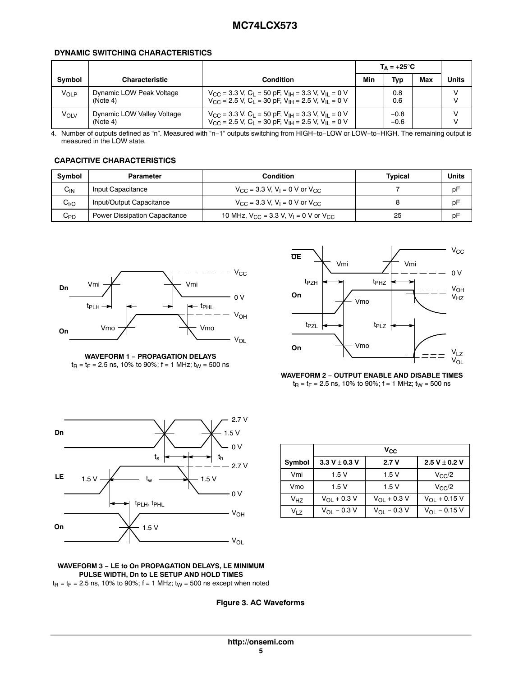#### **DYNAMIC SWITCHING CHARACTERISTICS**

|                   |                                        |                                                                                                                                                                                                 |     | $T_{\Delta} = +25^{\circ}C$ |     |       |
|-------------------|----------------------------------------|-------------------------------------------------------------------------------------------------------------------------------------------------------------------------------------------------|-----|-----------------------------|-----|-------|
| <b>Symbol</b>     | <b>Characteristic</b>                  | <b>Condition</b>                                                                                                                                                                                | Min | Typ                         | Max | Units |
| V <sub>OI P</sub> | Dynamic LOW Peak Voltage<br>(Note 4)   | $V_{\rm{CC}}$ = 3.3 V, C <sub>1</sub> = 50 pF, V <sub>IH</sub> = 3.3 V, V <sub>II</sub> = 0 V<br>$V_{CC} = 2.5$ V, $C_L = 30$ pF, $V_{IH} = 2.5$ V, $V_{IL} = 0$ V                              |     | 0.8<br>0.6                  |     |       |
| VOLV              | Dynamic LOW Valley Voltage<br>(Note 4) | $V_{\text{CC}}$ = 3.3 V, C <sub>L</sub> = 50 pF, V <sub>IH</sub> = 3.3 V, V <sub>IL</sub> = 0 V<br>$V_{\rm CC}$ = 2.5 V, C <sub>L</sub> = 30 pF, V <sub>IH</sub> = 2.5 V, V <sub>IL</sub> = 0 V |     | $-0.8$<br>$-0.6$            |     |       |

4. Number of outputs defined as "n". Measured with "n−1" outputs switching from HIGH−to−LOW or LOW−to−HIGH. The remaining output is measured in the LOW state.

## **CAPACITIVE CHARACTERISTICS**

| <b>Symbol</b> | <b>Parameter</b>                     | <b>Condition</b>                                                  | Tvpical | Units |
|---------------|--------------------------------------|-------------------------------------------------------------------|---------|-------|
| $C_{IN}$      | Input Capacitance                    | $V_{\rm CC}$ = 3.3 V, V <sub>1</sub> = 0 V or V <sub>CC</sub>     |         | pF    |
| $C_{I/O}$     | Input/Output Capacitance             | $V_{\rm CC}$ = 3.3 V, V <sub>1</sub> = 0 V or V <sub>CC</sub>     |         | pF    |
| $C_{PD}$      | <b>Power Dissipation Capacitance</b> | 10 MHz, $V_{CC}$ = 3.3 V, V <sub>I</sub> = 0 V or V <sub>CC</sub> | 25      | pF    |







**WAVEFORM 2 − OUTPUT ENABLE AND DISABLE TIMES**  $t_{\text{R}} = t_{\text{F}} = 2.5 \text{ ns}, 10\% \text{ to } 90\%; \text{ f} = 1 \text{ MHz}; t_{\text{W}} = 500 \text{ ns}$ 



|                  |                        | $V_{\rm CC}$           |                         |  |  |  |
|------------------|------------------------|------------------------|-------------------------|--|--|--|
| Symbol           | 3.3 V $\pm$ 0.3 V      | 2.7V                   | 2.5 V $\pm$ 0.2 V       |  |  |  |
| Vmi              | 1.5V                   | 1.5V                   | $V_{C}C/2$              |  |  |  |
| Vmo              | 1.5V                   | 1.5V                   | $V_{C}C/2$              |  |  |  |
| V <sub>H7</sub>  | $V_{\Omega I}$ + 0.3 V | $V_{\Omega I}$ + 0.3 V | $V_{\Omega1}$ + 0.15 V  |  |  |  |
| V <sub>I 7</sub> | $V_{\Omega I} - 0.3 V$ | $V_{\Omega I} - 0.3 V$ | $V_{\Omega I}$ – 0.15 V |  |  |  |

#### **WAVEFORM 3 − LE to On PROPAGATION DELAYS, LE MINIMUM PULSE WIDTH, Dn to LE SETUP AND HOLD TIMES**

 $t_{\text{R}} = t_{\text{F}} = 2.5$  ns, 10% to 90%; f = 1 MHz;  $t_{\text{W}} = 500$  ns except when noted

**Figure 3. AC Waveforms**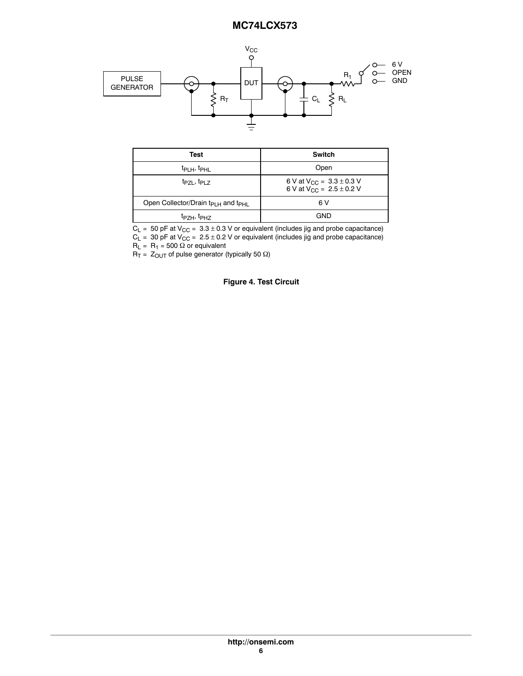

| Test                                                       | Switch                                                                    |
|------------------------------------------------------------|---------------------------------------------------------------------------|
| t <sub>PLH</sub> , t <sub>PHL</sub>                        | Open                                                                      |
| $t_{PZI}$ , $t_{PIZ}$                                      | 6 V at $V_{\text{CC}} = 3.3 \pm 0.3$ V<br>6 V at $V_{CC} = 2.5 \pm 0.2$ V |
| Open Collector/Drain t <sub>PLH</sub> and t <sub>PHL</sub> | 6 V                                                                       |
| t <sub>PZH</sub> , t <sub>PHZ</sub>                        | GND                                                                       |

 $\rm C_L$  =  $\,$  50 pF at V $\rm_{CC}$  =  $\,$  3.3  $\pm$  0.3 V or equivalent (includes jig and probe capacitance)  $C_{L}$  = 30 pF at V<sub>CC</sub> = 2.5  $\pm$  0.2 V or equivalent (includes jig and probe capacitance)

 $R_L = R_1 = 500 \Omega$  or equivalent

 $R_T = Z_{\text{OUT}}$  of pulse generator (typically 50  $\Omega$ )

#### **Figure 4. Test Circuit**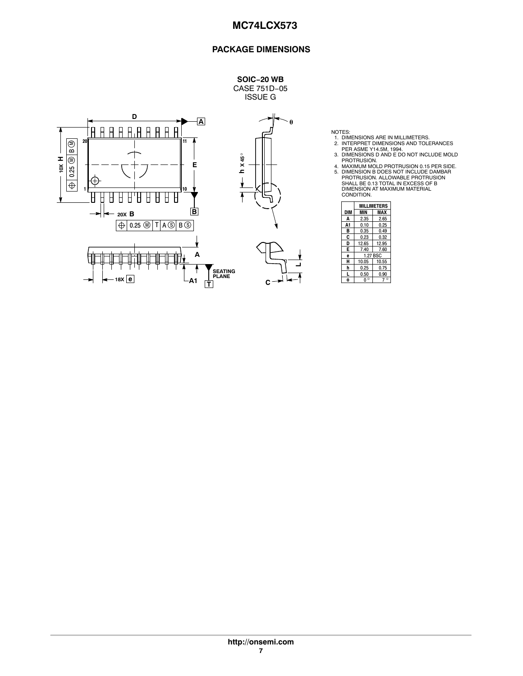## **PACKAGE DIMENSIONS**



**SOIC−20 WB** CASE 751D−05 ISSUE G

**-**

**L**

- 
- 
- 
- NOTES:<br>
1. DIMENSIONS ARE IN MILLIMETERS.<br>
2. INTERPRET DIMENSIONS AND TOLERANCES<br>
PER ASME Y14.5M, 1994.<br>
3. DIMENSIONS D AND E DO NOT INCLUDE MOLD<br>
PROTRUSION.<br>
4. MAXIMUM MOLD PROTRUSION 0.15 PER SIDE.<br>
5. DIMENSIONS D

|                | <b>MILLIMETERS</b> |          |  |  |
|----------------|--------------------|----------|--|--|
| <b>DIM</b>     | MIN                | MAX      |  |  |
| A              | 2.35               | 2.65     |  |  |
| A <sub>1</sub> | 0.10               | 0.25     |  |  |
| в              | 0.35               | 0.49     |  |  |
| C              | 0.23               | 0.32     |  |  |
| D              | 12.65              | 12.95    |  |  |
| Е              | 7.40               | 7.60     |  |  |
| ė              |                    | 1.27 BSC |  |  |
| н              | 10.05              | 10.55    |  |  |
| h              | 0.25               | 0.75     |  |  |
|                | 0.50               | 0.90     |  |  |
|                | Ó                  |          |  |  |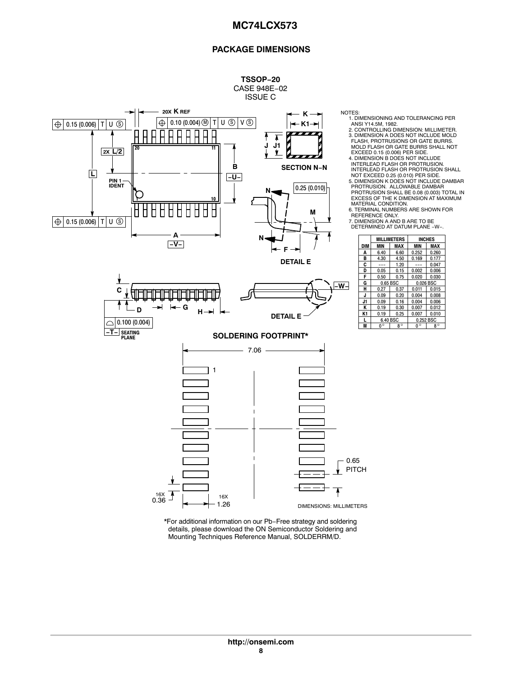### **PACKAGE DIMENSIONS**

**INCHES**  $\begin{array}{|c|c|c|c|c|}\n 0.252 & 0.260 \\
 \hline\n 0.169 & 0.177\n \end{array}$ 

**G** 0.65 BSC 0.026 BSC



\*For additional information on our Pb−Free strategy and soldering details, please download the ON Semiconductor Soldering and Mounting Techniques Reference Manual, SOLDERRM/D.